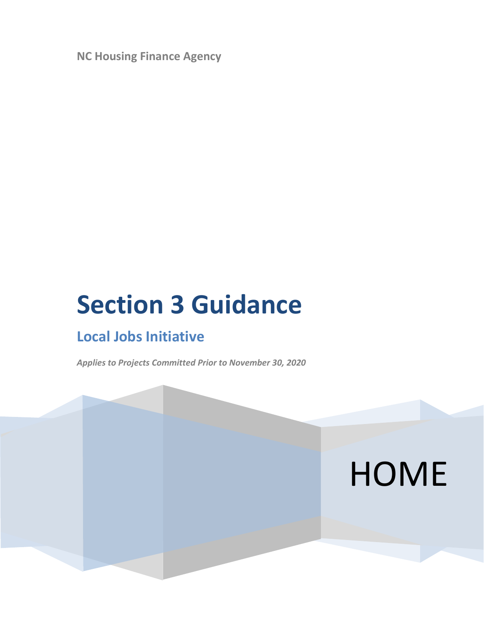**NC Housing Finance Agency**

# **Section 3 Guidance**

# **Local Jobs Initiative**

*Applies to Projects Committed Prior to November 30, 2020*

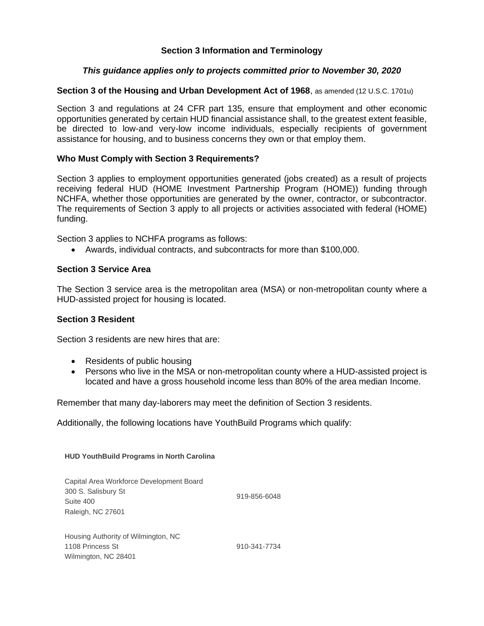### **Section 3 Information and Terminology**

### *This guidance applies only to projects committed prior to November 30, 2020*

### **Section 3 of the Housing and Urban Development Act of 1968**, as amended (12 U.S.C. 1701u)

Section 3 and regulations at 24 CFR part 135, ensure that employment and other economic opportunities generated by certain HUD financial assistance shall, to the greatest extent feasible, be directed to low-and very-low income individuals, especially recipients of government assistance for housing, and to business concerns they own or that employ them.

### **Who Must Comply with Section 3 Requirements?**

Section 3 applies to employment opportunities generated (jobs created) as a result of projects receiving federal HUD (HOME Investment Partnership Program (HOME)) funding through NCHFA, whether those opportunities are generated by the owner, contractor, or subcontractor. The requirements of Section 3 apply to all projects or activities associated with federal (HOME) funding.

Section 3 applies to NCHFA programs as follows:

• Awards, individual contracts, and subcontracts for more than \$100,000.

### **Section 3 Service Area**

The Section 3 service area is the metropolitan area (MSA) or non-metropolitan county where a HUD-assisted project for housing is located.

### **Section 3 Resident**

Section 3 residents are new hires that are:

- Residents of public housing
- Persons who live in the MSA or non-metropolitan county where a HUD-assisted project is located and have a gross household income less than 80% of the area median Income.

Remember that many day-laborers may meet the definition of Section 3 residents.

Additionally, the following locations have YouthBuild Programs which qualify:

**HUD YouthBuild Programs in North Carolina** 

| Capital Area Workforce Development Board |              |
|------------------------------------------|--------------|
| 300 S. Salisbury St                      | 919-856-6048 |
| Suite 400                                |              |
| Raleigh, NC 27601                        |              |
|                                          |              |
| Housing Authority of Wilmington, NC      |              |
| 1108 Princess St                         | 910-341-7734 |
| Wilmington, NC 28401                     |              |
|                                          |              |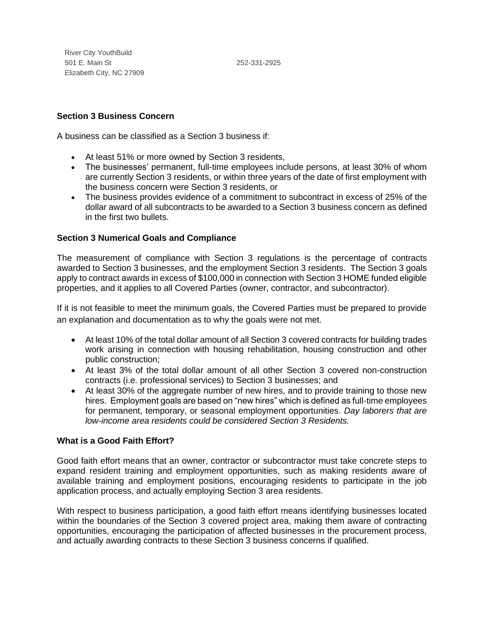River City YouthBuild 501 E. Main St Elizabeth City, NC 27909

252-331-2925

### **Section 3 Business Concern**

A business can be classified as a Section 3 business if:

- At least 51% or more owned by Section 3 residents,
- The businesses' permanent, full-time employees include persons, at least 30% of whom are currently Section 3 residents, or within three years of the date of first employment with the business concern were Section 3 residents, or
- The business provides evidence of a commitment to subcontract in excess of 25% of the dollar award of all subcontracts to be awarded to a Section 3 business concern as defined in the first two bullets.

### **Section 3 Numerical Goals and Compliance**

The measurement of compliance with Section 3 regulations is the percentage of contracts awarded to Section 3 businesses, and the employment Section 3 residents. The Section 3 goals apply to contract awards in excess of \$100,000 in connection with Section 3 HOME funded eligible properties, and it applies to all Covered Parties (owner, contractor, and subcontractor).

If it is not feasible to meet the minimum goals, the Covered Parties must be prepared to provide an explanation and documentation as to why the goals were not met.

- At least 10% of the total dollar amount of all Section 3 covered contracts for building trades work arising in connection with housing rehabilitation, housing construction and other public construction;
- At least 3% of the total dollar amount of all other Section 3 covered non-construction contracts (i.e. professional services) to Section 3 businesses; and
- At least 30% of the aggregate number of new hires, and to provide training to those new hires. Employment goals are based on "new hires" which is defined as full-time employees for permanent, temporary, or seasonal employment opportunities. *Day laborers that are low-income area residents could be considered Section 3 Residents.*

### **What is a Good Faith Effort?**

Good faith effort means that an owner, contractor or subcontractor must take concrete steps to expand resident training and employment opportunities, such as making residents aware of available training and employment positions, encouraging residents to participate in the job application process, and actually employing Section 3 area residents.

With respect to business participation, a good faith effort means identifying businesses located within the boundaries of the Section 3 covered project area, making them aware of contracting opportunities, encouraging the participation of affected businesses in the procurement process, and actually awarding contracts to these Section 3 business concerns if qualified.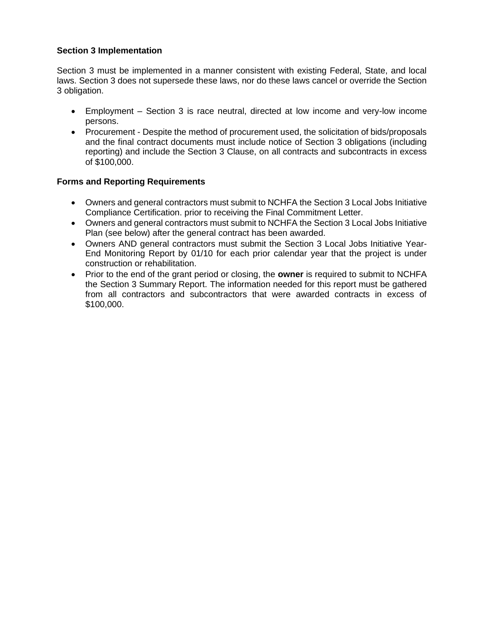### **Section 3 Implementation**

Section 3 must be implemented in a manner consistent with existing Federal, State, and local laws. Section 3 does not supersede these laws, nor do these laws cancel or override the Section 3 obligation.

- Employment Section 3 is race neutral, directed at low income and very-low income persons.
- Procurement Despite the method of procurement used, the solicitation of bids/proposals and the final contract documents must include notice of Section 3 obligations (including reporting) and include the Section 3 Clause, on all contracts and subcontracts in excess of \$100,000.

### **Forms and Reporting Requirements**

- Owners and general contractors must submit to NCHFA the Section 3 Local Jobs Initiative Compliance Certification. prior to receiving the Final Commitment Letter.
- Owners and general contractors must submit to NCHFA the Section 3 Local Jobs Initiative Plan (see below) after the general contract has been awarded.
- Owners AND general contractors must submit the Section 3 Local Jobs Initiative Year-End Monitoring Report by 01/10 for each prior calendar year that the project is under construction or rehabilitation.
- Prior to the end of the grant period or closing, the **owner** is required to submit to NCHFA the Section 3 Summary Report. The information needed for this report must be gathered from all contractors and subcontractors that were awarded contracts in excess of \$100,000.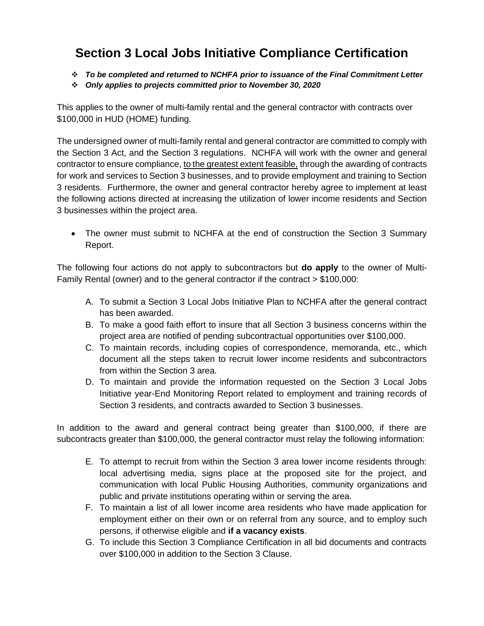# **Section 3 Local Jobs Initiative Compliance Certification**

- ❖ *To be completed and returned to NCHFA prior to issuance of the Final Commitment Letter*
- ❖ *Only applies to projects committed prior to November 30, 2020*

This applies to the owner of multi-family rental and the general contractor with contracts over \$100,000 in HUD (HOME) funding.

The undersigned owner of multi-family rental and general contractor are committed to comply with the Section 3 Act, and the Section 3 regulations. NCHFA will work with the owner and general contractor to ensure compliance, to the greatest extent feasible, through the awarding of contracts for work and services to Section 3 businesses, and to provide employment and training to Section 3 residents. Furthermore, the owner and general contractor hereby agree to implement at least the following actions directed at increasing the utilization of lower income residents and Section 3 businesses within the project area.

• The owner must submit to NCHFA at the end of construction the Section 3 Summary Report.

The following four actions do not apply to subcontractors but **do apply** to the owner of Multi-Family Rental (owner) and to the general contractor if the contract > \$100,000:

- A. To submit a Section 3 Local Jobs Initiative Plan to NCHFA after the general contract has been awarded.
- B. To make a good faith effort to insure that all Section 3 business concerns within the project area are notified of pending subcontractual opportunities over \$100,000.
- C. To maintain records, including copies of correspondence, memoranda, etc., which document all the steps taken to recruit lower income residents and subcontractors from within the Section 3 area.
- D. To maintain and provide the information requested on the Section 3 Local Jobs Initiative year-End Monitoring Report related to employment and training records of Section 3 residents, and contracts awarded to Section 3 businesses.

In addition to the award and general contract being greater than \$100,000, if there are subcontracts greater than \$100,000, the general contractor must relay the following information:

- E. To attempt to recruit from within the Section 3 area lower income residents through: local advertising media, signs place at the proposed site for the project, and communication with local Public Housing Authorities, community organizations and public and private institutions operating within or serving the area.
- F. To maintain a list of all lower income area residents who have made application for employment either on their own or on referral from any source, and to employ such persons, if otherwise eligible and **if a vacancy exists**.
- G. To include this Section 3 Compliance Certification in all bid documents and contracts over \$100,000 in addition to the Section 3 Clause.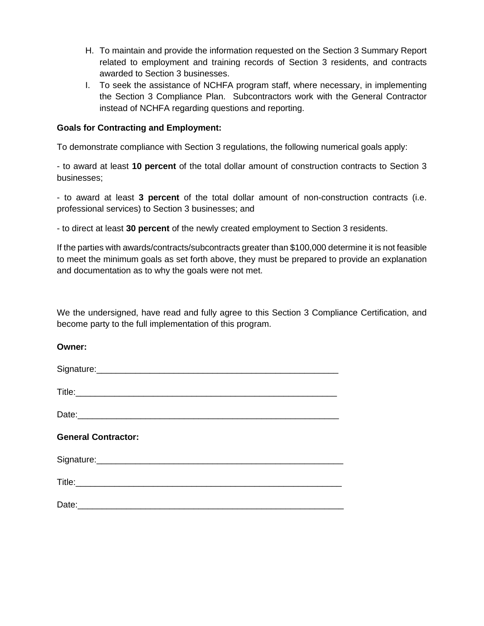- H. To maintain and provide the information requested on the Section 3 Summary Report related to employment and training records of Section 3 residents, and contracts awarded to Section 3 businesses.
- I. To seek the assistance of NCHFA program staff, where necessary, in implementing the Section 3 Compliance Plan. Subcontractors work with the General Contractor instead of NCHFA regarding questions and reporting.

### **Goals for Contracting and Employment:**

To demonstrate compliance with Section 3 regulations, the following numerical goals apply:

- to award at least **10 percent** of the total dollar amount of construction contracts to Section 3 businesses;

- to award at least **3 percent** of the total dollar amount of non-construction contracts (i.e. professional services) to Section 3 businesses; and

- to direct at least **30 percent** of the newly created employment to Section 3 residents.

If the parties with awards/contracts/subcontracts greater than \$100,000 determine it is not feasible to meet the minimum goals as set forth above, they must be prepared to provide an explanation and documentation as to why the goals were not met.

We the undersigned, have read and fully agree to this Section 3 Compliance Certification, and become party to the full implementation of this program.

### **Owner:**

| <b>General Contractor:</b> |  |
|----------------------------|--|
|                            |  |
|                            |  |
|                            |  |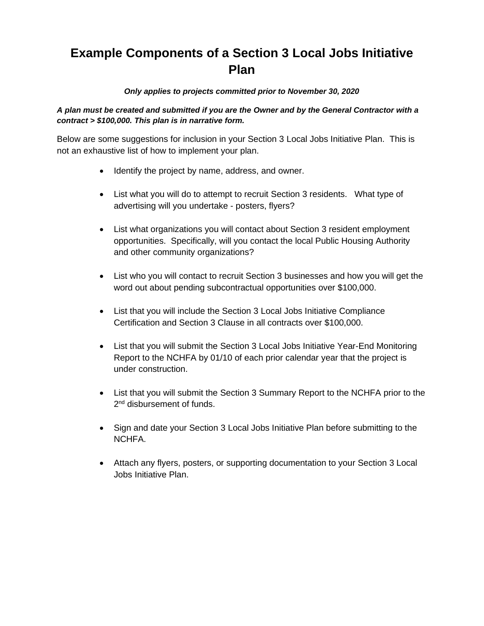# **Example Components of a Section 3 Local Jobs Initiative Plan**

### *Only applies to projects committed prior to November 30, 2020*

### *A plan must be created and submitted if you are the Owner and by the General Contractor with a contract > \$100,000. This plan is in narrative form.*

Below are some suggestions for inclusion in your Section 3 Local Jobs Initiative Plan. This is not an exhaustive list of how to implement your plan.

- Identify the project by name, address, and owner.
- List what you will do to attempt to recruit Section 3 residents. What type of advertising will you undertake - posters, flyers?
- List what organizations you will contact about Section 3 resident employment opportunities. Specifically, will you contact the local Public Housing Authority and other community organizations?
- List who you will contact to recruit Section 3 businesses and how you will get the word out about pending subcontractual opportunities over \$100,000.
- List that you will include the Section 3 Local Jobs Initiative Compliance Certification and Section 3 Clause in all contracts over \$100,000.
- List that you will submit the Section 3 Local Jobs Initiative Year-End Monitoring Report to the NCHFA by 01/10 of each prior calendar year that the project is under construction.
- List that you will submit the Section 3 Summary Report to the NCHFA prior to the 2<sup>nd</sup> disbursement of funds.
- Sign and date your Section 3 Local Jobs Initiative Plan before submitting to the NCHFA.
- Attach any flyers, posters, or supporting documentation to your Section 3 Local Jobs Initiative Plan.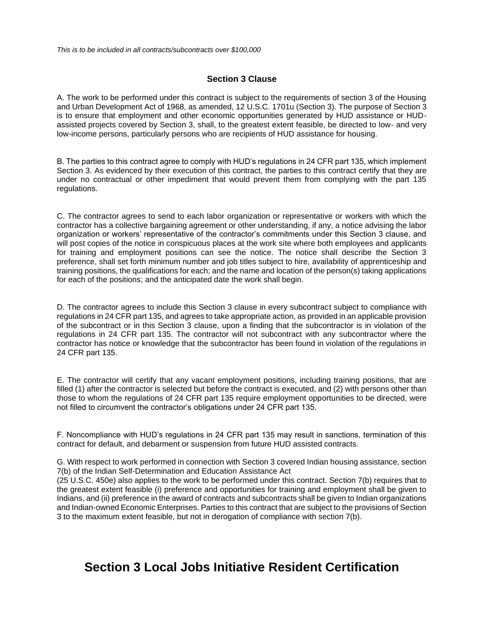### **Section 3 Clause**

A. The work to be performed under this contract is subject to the requirements of section 3 of the Housing and Urban Development Act of 1968, as amended, 12 U.S.C. 1701u (Section 3). The purpose of Section 3 is to ensure that employment and other economic opportunities generated by HUD assistance or HUDassisted projects covered by Section 3, shall, to the greatest extent feasible, be directed to low- and very low-income persons, particularly persons who are recipients of HUD assistance for housing.

B. The parties to this contract agree to comply with HUD's regulations in 24 CFR part 135, which implement Section 3. As evidenced by their execution of this contract, the parties to this contract certify that they are under no contractual or other impediment that would prevent them from complying with the part 135 regulations.

C. The contractor agrees to send to each labor organization or representative or workers with which the contractor has a collective bargaining agreement or other understanding, if any, a notice advising the labor organization or workers' representative of the contractor's commitments under this Section 3 clause, and will post copies of the notice in conspicuous places at the work site where both employees and applicants for training and employment positions can see the notice. The notice shall describe the Section 3 preference, shall set forth minimum number and job titles subject to hire, availability of apprenticeship and training positions, the qualifications for each; and the name and location of the person(s) taking applications for each of the positions; and the anticipated date the work shall begin.

D. The contractor agrees to include this Section 3 clause in every subcontract subject to compliance with regulations in 24 CFR part 135, and agrees to take appropriate action, as provided in an applicable provision of the subcontract or in this Section 3 clause, upon a finding that the subcontractor is in violation of the regulations in 24 CFR part 135. The contractor will not subcontract with any subcontractor where the contractor has notice or knowledge that the subcontractor has been found in violation of the regulations in 24 CFR part 135.

E. The contractor will certify that any vacant employment positions, including training positions, that are filled (1) after the contractor is selected but before the contract is executed, and (2) with persons other than those to whom the regulations of 24 CFR part 135 require employment opportunities to be directed, were not filled to circumvent the contractor's obligations under 24 CFR part 135.

F. Noncompliance with HUD's regulations in 24 CFR part 135 may result in sanctions, termination of this contract for default, and debarment or suspension from future HUD assisted contracts.

G. With respect to work performed in connection with Section 3 covered Indian housing assistance, section 7(b) of the Indian Self-Determination and Education Assistance Act

(25 U.S.C. 450e) also applies to the work to be performed under this contract. Section 7(b) requires that to the greatest extent feasible (i) preference and opportunities for training and employment shall be given to Indians, and (ii) preference in the award of contracts and subcontracts shall be given to Indian organizations and Indian-owned Economic Enterprises. Parties to this contract that are subject to the provisions of Section 3 to the maximum extent feasible, but not in derogation of compliance with section 7(b).

## **Section 3 Local Jobs Initiative Resident Certification**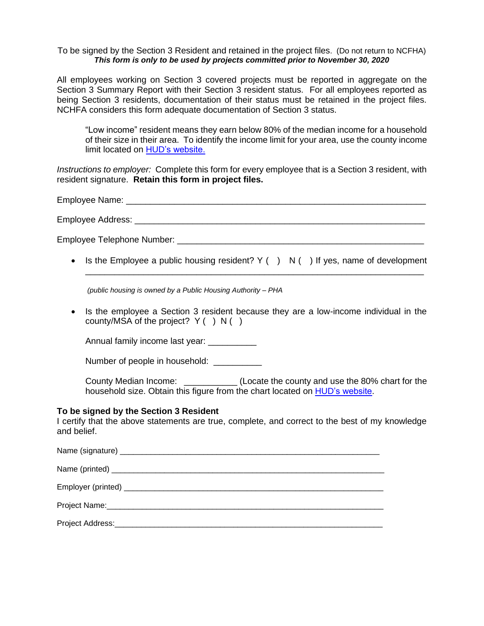#### To be signed by the Section 3 Resident and retained in the project files. (Do not return to NCFHA) *This form is only to be used by projects committed prior to November 30, 2020*

All employees working on Section 3 covered projects must be reported in aggregate on the Section 3 Summary Report with their Section 3 resident status. For all employees reported as being Section 3 residents, documentation of their status must be retained in the project files. NCHFA considers this form adequate documentation of Section 3 status.

"Low income" resident means they earn below 80% of the median income for a household of their size in their area. To identify the income limit for your area, use the county income limit located on HUD's website.

*Instructions to employer:* Complete this form for every employee that is a Section 3 resident, with resident signature. **Retain this form in project files.** 

Employee Name:  $\blacksquare$ 

Employee Address: \_\_\_\_\_\_\_\_\_\_\_\_\_\_\_\_\_\_\_\_\_\_\_\_\_\_\_\_\_\_\_\_\_\_\_\_\_\_\_\_\_\_\_\_\_\_\_\_\_\_\_\_\_\_\_\_\_\_\_\_

Employee Telephone Number: **Employee Telephone** Number:

• Is the Employee a public housing resident?  $Y( ) N( )$  If yes, name of development \_\_\_\_\_\_\_\_\_\_\_\_\_\_\_\_\_\_\_\_\_\_\_\_\_\_\_\_\_\_\_\_\_\_\_\_\_\_\_\_\_\_\_\_\_\_\_\_\_\_\_\_\_\_\_\_\_\_\_\_\_\_\_\_\_\_\_\_\_\_

*(public housing is owned by a Public Housing Authority – PHA*

• Is the employee a Section 3 resident because they are a low-income individual in the county/MSA of the project?  $Y( ) N( )$ 

Annual family income last year: \_\_\_\_\_\_\_\_\_\_

Number of people in household: \_\_\_\_\_\_\_\_\_\_\_

County Median Income: \_\_\_\_\_\_\_\_\_\_\_ (Locate the county and use the 80% chart for the household size. Obtain this figure from the chart located on HUD's website.

### **To be signed by the Section 3 Resident**

I certify that the above statements are true, complete, and correct to the best of my knowledge and belief.

Name (signature) \_\_\_\_\_\_\_\_\_\_\_\_\_\_\_\_\_\_\_\_\_\_\_\_\_\_\_\_\_\_\_\_\_\_\_\_\_\_\_\_\_\_\_\_\_\_\_\_\_\_\_\_\_\_\_\_\_\_\_ Name (printed) \_\_\_\_\_\_\_\_\_\_\_\_\_\_\_\_\_\_\_\_\_\_\_\_\_\_\_\_\_\_\_\_\_\_\_\_\_\_\_\_\_\_\_\_\_\_\_\_\_\_\_\_\_\_\_\_\_\_\_\_\_\_ Employer (printed) \_\_\_\_\_\_\_\_\_\_\_\_\_\_\_\_\_\_\_\_\_\_\_\_\_\_\_\_\_\_\_\_\_\_\_\_\_\_\_\_\_\_\_\_\_\_\_\_\_\_\_\_\_\_\_\_\_\_\_ Project Name: Project Address:\_\_\_\_\_\_\_\_\_\_\_\_\_\_\_\_\_\_\_\_\_\_\_\_\_\_\_\_\_\_\_\_\_\_\_\_\_\_\_\_\_\_\_\_\_\_\_\_\_\_\_\_\_\_\_\_\_\_\_\_\_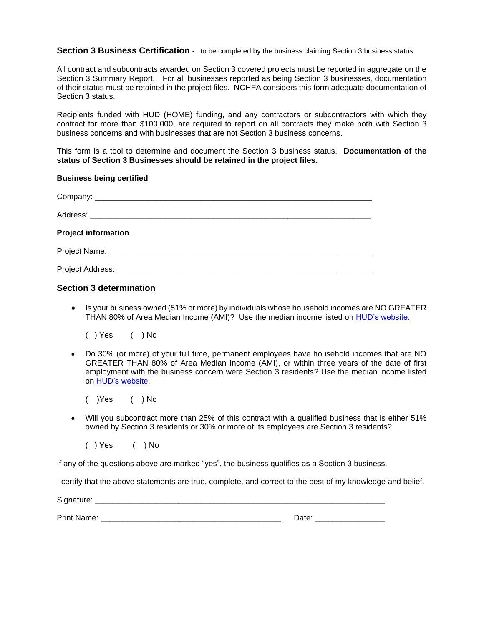### **Section 3 Business Certification -** to be completed by the business claiming Section 3 business status

All contract and subcontracts awarded on Section 3 covered projects must be reported in aggregate on the Section 3 Summary Report. For all businesses reported as being Section 3 businesses, documentation of their status must be retained in the project files. NCHFA considers this form adequate documentation of Section 3 status.

Recipients funded with HUD (HOME) funding, and any contractors or subcontractors with which they contract for more than \$100,000, are required to report on all contracts they make both with Section 3 business concerns and with businesses that are not Section 3 business concerns.

This form is a tool to determine and document the Section 3 business status. **Documentation of the status of Section 3 Businesses should be retained in the project files.**

#### **Business being certified**

| <b>Project information</b> |  |
|----------------------------|--|
|                            |  |
|                            |  |

### **Section 3 determination**

• Is your business owned (51% or more) by individuals whose household incomes are NO GREATER THAN 80% of Area Median Income (AMI)? Use the median income listed on HUD's website.

( ) Yes ( ) No

• Do 30% (or more) of your full time, permanent employees have household incomes that are NO GREATER THAN 80% of Area Median Income (AMI), or within three years of the date of first employment with the business concern were Section 3 residents? Use the median income listed on HUD's website.

( )Yes ( ) No

• Will you subcontract more than 25% of this contract with a qualified business that is either 51% owned by Section 3 residents or 30% or more of its employees are Section 3 residents?

( ) Yes ( ) No

If any of the questions above are marked "yes", the business qualifies as a Section 3 business.

I certify that the above statements are true, complete, and correct to the best of my knowledge and belief.

Signature: \_\_\_\_\_\_\_\_\_\_\_\_\_\_\_\_\_\_\_\_\_\_\_\_\_\_\_\_\_\_\_\_\_\_\_\_\_\_\_\_\_\_\_\_\_\_\_\_\_\_\_\_\_\_\_\_\_\_\_\_\_\_\_\_\_\_

Print Name: \_\_\_\_\_\_\_\_\_\_\_\_\_\_\_\_\_\_\_\_\_\_\_\_\_\_\_\_\_\_\_\_\_\_\_\_\_\_\_\_\_ Date: \_\_\_\_\_\_\_\_\_\_\_\_\_\_\_\_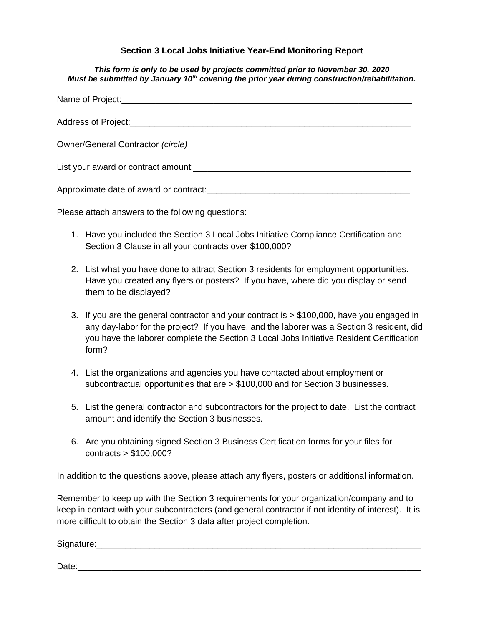### **Section 3 Local Jobs Initiative Year-End Monitoring Report**

#### *This form is only to be used by projects committed prior to November 30, 2020 Must be submitted by January 10th covering the prior year during construction/rehabilitation.*

| <b>Owner/General Contractor (circle)</b>                                                                       |
|----------------------------------------------------------------------------------------------------------------|
|                                                                                                                |
| Approximate date of award or contract: example and all the set of a set of a set of a set of a set of a set of |

Please attach answers to the following questions:

- 1. Have you included the Section 3 Local Jobs Initiative Compliance Certification and Section 3 Clause in all your contracts over \$100,000?
- 2. List what you have done to attract Section 3 residents for employment opportunities. Have you created any flyers or posters? If you have, where did you display or send them to be displayed?
- 3. If you are the general contractor and your contract is > \$100,000, have you engaged in any day-labor for the project? If you have, and the laborer was a Section 3 resident, did you have the laborer complete the Section 3 Local Jobs Initiative Resident Certification form?
- 4. List the organizations and agencies you have contacted about employment or subcontractual opportunities that are > \$100,000 and for Section 3 businesses.
- 5. List the general contractor and subcontractors for the project to date. List the contract amount and identify the Section 3 businesses.
- 6. Are you obtaining signed Section 3 Business Certification forms for your files for contracts > \$100,000?

In addition to the questions above, please attach any flyers, posters or additional information.

Remember to keep up with the Section 3 requirements for your organization/company and to keep in contact with your subcontractors (and general contractor if not identity of interest). It is more difficult to obtain the Section 3 data after project completion.

Signature:\_\_\_\_\_\_\_\_\_\_\_\_\_\_\_\_\_\_\_\_\_\_\_\_\_\_\_\_\_\_\_\_\_\_\_\_\_\_\_\_\_\_\_\_\_\_\_\_\_\_\_\_\_\_\_\_\_\_\_\_\_\_\_\_\_\_\_

Date:\_\_\_\_\_\_\_\_\_\_\_\_\_\_\_\_\_\_\_\_\_\_\_\_\_\_\_\_\_\_\_\_\_\_\_\_\_\_\_\_\_\_\_\_\_\_\_\_\_\_\_\_\_\_\_\_\_\_\_\_\_\_\_\_\_\_\_\_\_\_\_